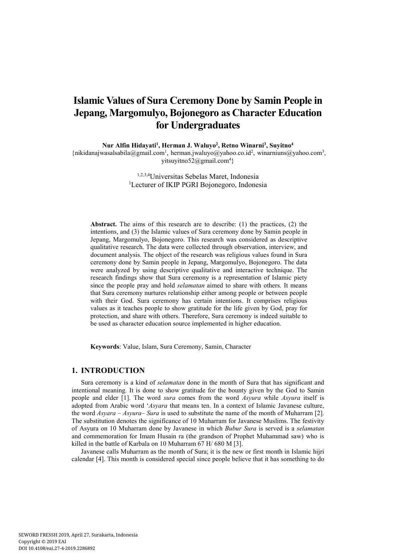# **Islamic Values of Sura Ceremony Done by Samin People in Jepang, Margomulyo, Bojonegoro as Character Education for Undergraduates**

**Nur Alfin Hidayati<sup>1</sup> , Herman J. Waluyo<sup>2</sup> , Retno Winarni<sup>3</sup> , Suyitno<sup>4</sup>**

{nikidanajwasalsabila@gmail.com<sup>1</sup>, herman.jwaluyo@yahoo.co.id<sup>2</sup>, winarniuns@yahoo.com<sup>3</sup>, yitsuyitno52@gmail.com<sup>4</sup>}

> 1,2,3,4Universitas Sebelas Maret, Indonesia <sup>1</sup>Lecturer of IKIP PGRI Bojonegoro, Indonesia

**Abstract.** The aims of this research are to describe: (1) the practices, (2) the intentions, and (3) the Islamic values of Sura ceremony done by Samin people in Jepang, Margomulyo, Bojonegoro. This research was considered as descriptive qualitative research. The data were collected through observation, interview, and document analysis. The object of the research was religious values found in Sura ceremony done by Samin people in Jepang, Margomulyo, Bojonegoro. The data were analyzed by using descriptive qualitative and interactive technique. The research findings show that Sura ceremony is a representation of Islamic piety since the people pray and hold *selamatan* aimed to share with others. It means that Sura ceremony nurtures relationship either among people or between people with their God. Sura ceremony has certain intentions. It comprises religious values as it teaches people to show gratitude for the life given by God, pray for protection, and share with others. Therefore, Sura ceremony is indeed suitable to be used as character education source implemented in higher education.

**Keywords**: Value, Islam, Sura Ceremony, Samin, Character

# **1. INTRODUCTION**

Sura ceremony is a kind of *selamatan* done in the month of Sura that has significant and intentional meaning. It is done to show gratitude for the bounty given by the God to Samin people and elder [1]. The word *sura* comes from the word *Asyura* while *Asyura* itself is adopted from Arabic word '*Asyara* that means ten. In a context of Islamic Javanese culture, the word *Asyara – Asyura*– *Sura* is used to substitute the name of the month of Muharram [2]. The substitution denotes the significance of 10 Muharram for Javanese Muslims. The festivity of Asyura on 10 Muharram done by Javanese in which *Bubur Sura* is served is a *selamatan* and commemoration for Imam Husain ra (the grandson of Prophet Muhammad saw) who is killed in the battle of Karbala on 10 Muharram 67 H/ 680 M [3].

Javanese calls Muharram as the month of Sura; it is the new or first month in Islamic hijri calendar [4]. This month is considered special since people believe that it has something to do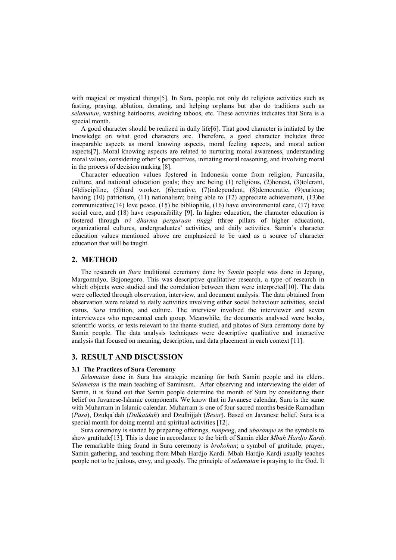with magical or mystical things[5]. In Sura, people not only do religious activities such as fasting, praying, ablution, donating, and helping orphans but also do traditions such as *selamatan*, washing heirlooms, avoiding taboos, etc. These activities indicates that Sura is a special month.

A good character should be realized in daily life[6]. That good character is initiated by the knowledge on what good characters are. Therefore, a good character includes three inseparable aspects as moral knowing aspects, moral feeling aspects, and moral action aspects[7]. Moral knowing aspects are related to nurturing moral awareness, understanding moral values, considering other's perspectives, initiating moral reasoning, and involving moral in the process of decision making [8].

Character education values fostered in Indonesia come from religion, Pancasila, culture, and national education goals; they are being (1) religious, (2)honest, (3)tolerant, (4)discipline, (5)hard worker, (6)creative, (7)independent, (8)democratic, (9)curious; having (10) patriotism, (11) nationalism; being able to (12) appreciate achievement, (13)be communicative $(14)$  love peace,  $(15)$  be bibliophile,  $(16)$  have environmental care,  $(17)$  have social care, and (18) have responsibility [9]. In higher education, the character education is fostered through *tri dharma perguruan tinggi* (three pillars of higher education), organizational cultures, undergraduates' activities, and daily activities. Samin's character education values mentioned above are emphasized to be used as a source of character education that will be taught.

## **2. METHOD**

The research on *Sura* traditional ceremony done by *Samin* people was done in Jepang, Margomulyo, Bojonegoro. This was descriptive qualitative research, a type of research in which objects were studied and the correlation between them were interpreted[10]. The data were collected through observation, interview, and document analysis. The data obtained from observation were related to daily activities involving either social behaviour activities, social status, *Sura* tradition, and culture. The interview involved the interviewer and seven interviewees who represented each group. Meanwhile, the documents analysed were books, scientific works, or texts relevant to the theme studied, and photos of Sura ceremony done by Samin people. The data analysis techniques were descriptive qualitative and interactive analysis that focused on meaning, description, and data placement in each context [11].

## **3. RESULT AND DISCUSSION**

#### **3.1 The Practices of Sura Ceremony**

*Selamatan* done in Sura has strategic meaning for both Samin people and its elders. *Selametan* is the main teaching of Saminism. After observing and interviewing the elder of Samin, it is found out that Samin people determine the month of Sura by considering their belief on Javanese-Islamic components. We know that in Javanese calendar, Sura is the same with Muharram in Islamic calendar. Muharram is one of four sacred months beside Ramadhan (*Pasa*), Dzulqa'dah (*Dulkaidah*) and Dzulhijjah (*Besar*). Based on Javanese belief, Sura is a special month for doing mental and spiritual activities [12].

Sura ceremony is started by preparing offerings, *tumpeng*, and *ubarampe* as the symbols to show gratitude[13]. This is done in accordance to the birth of Samin elder *Mbah Hardjo Kardi*. The remarkable thing found in Sura ceremony is *brokohan*; a symbol of gratitude, prayer, Samin gathering, and teaching from Mbah Hardjo Kardi. Mbah Hardjo Kardi usually teaches people not to be jealous, envy, and greedy. The principle of *selamatan* is praying to the God. It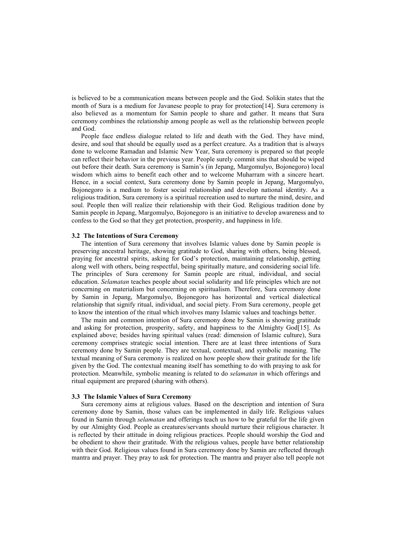is believed to be a communication means between people and the God. Solikin states that the month of Sura is a medium for Javanese people to pray for protection[14]. Sura ceremony is also believed as a momentum for Samin people to share and gather. It means that Sura ceremony combines the relationship among people as well as the relationship between people and God.

People face endless dialogue related to life and death with the God. They have mind, desire, and soul that should be equally used as a perfect creature. As a tradition that is always done to welcome Ramadan and Islamic New Year, Sura ceremony is prepared so that people can reflect their behavior in the previous year. People surely commit sins that should be wiped out before their death. Sura ceremony is Samin's (in Jepang, Margomulyo, Bojonegoro) local wisdom which aims to benefit each other and to welcome Muharram with a sincere heart. Hence, in a social context, Sura ceremony done by Samin people in Jepang, Margomulyo, Bojonegoro is a medium to foster social relationship and develop national identity. As a religious tradition, Sura ceremony is a spiritual recreation used to nurture the mind, desire, and soul. People then will realize their relationship with their God. Religious tradition done by Samin people in Jepang, Margomulyo, Bojonegoro is an initiative to develop awareness and to confess to the God so that they get protection, prosperity, and happiness in life.

## **3.2 The Intentions of Sura Ceremony**

The intention of Sura ceremony that involves Islamic values done by Samin people is preserving ancestral heritage, showing gratitude to God, sharing with others, being blessed, praying for ancestral spirits, asking for God's protection, maintaining relationship, getting along well with others, being respectful, being spiritually mature, and considering social life. The principles of Sura ceremony for Samin people are ritual, individual, and social education. *Selamatan* teaches people about social solidarity and life principles which are not concerning on materialism but concerning on spiritualism. Therefore, Sura ceremony done by Samin in Jepang, Margomulyo, Bojonegoro has horizontal and vertical dialectical relationship that signify ritual, individual, and social piety. From Sura ceremony, people get to know the intention of the ritual which involves many Islamic values and teachings better.

The main and common intention of Sura ceremony done by Samin is showing gratitude and asking for protection, prosperity, safety, and happiness to the Almighty God[15]. As explained above; besides having spiritual values (read: dimension of Islamic culture), Sura ceremony comprises strategic social intention. There are at least three intentions of Sura ceremony done by Samin people. They are textual, contextual, and symbolic meaning. The textual meaning of Sura ceremony is realized on how people show their gratitude for the life given by the God. The contextual meaning itself has something to do with praying to ask for protection. Meanwhile, symbolic meaning is related to do *selamatan* in which offerings and ritual equipment are prepared (sharing with others).

#### **3.3 The Islamic Values of Sura Ceremony**

Sura ceremony aims at religious values. Based on the description and intention of Sura ceremony done by Samin, those values can be implemented in daily life. Religious values found in Samin through *selamatan* and offerings teach us how to be grateful for the life given by our Almighty God. People as creatures/servants should nurture their religious character. It is reflected by their attitude in doing religious practices. People should worship the God and be obedient to show their gratitude. With the religious values, people have better relationship with their God. Religious values found in Sura ceremony done by Samin are reflected through mantra and prayer. They pray to ask for protection. The mantra and prayer also tell people not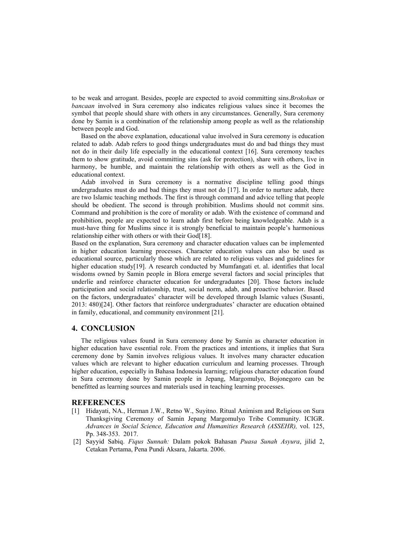to be weak and arrogant. Besides, people are expected to avoid committing sins.*Brokohan* or *bancaan* involved in Sura ceremony also indicates religious values since it becomes the symbol that people should share with others in any circumstances. Generally, Sura ceremony done by Samin is a combination of the relationship among people as well as the relationship between people and God.

Based on the above explanation, educational value involved in Sura ceremony is education related to adab. Adab refers to good things undergraduates must do and bad things they must not do in their daily life especially in the educational context [16]. Sura ceremony teaches them to show gratitude, avoid committing sins (ask for protection), share with others, live in harmony, be humble, and maintain the relationship with others as well as the God in educational context.

Adab involved in Sura ceremony is a normative discipline telling good things undergraduates must do and bad things they must not do [17]. In order to nurture adab, there are two Islamic teaching methods. The first is through command and advice telling that people should be obedient. The second is through prohibition. Muslims should not commit sins. Command and prohibition is the core of morality or adab. With the existence of command and prohibition, people are expected to learn adab first before being knowledgeable. Adab is a must-have thing for Muslims since it is strongly beneficial to maintain people's harmonious relationship either with others or with their God[18].

Based on the explanation, Sura ceremony and character education values can be implemented in higher education learning processes. Character education values can also be used as educational source, particularly those which are related to religious values and guidelines for higher education study[19]. A research conducted by Mumfangati et. al. identifies that local wisdoms owned by Samin people in Blora emerge several factors and social principles that underlie and reinforce character education for undergraduates [20]. Those factors include participation and social relationship, trust, social norm, adab, and proactive behavior. Based on the factors, undergraduates' character will be developed through Islamic values (Susanti, 2013: 480)[24]. Other factors that reinforce undergraduates' character are education obtained in family, educational, and community environment [21].

## **4. CONCLUSION**

The religious values found in Sura ceremony done by Samin as character education in higher education have essential role. From the practices and intentions, it implies that Sura ceremony done by Samin involves religious values. It involves many character education values which are relevant to higher education curriculum and learning processes. Through higher education, especially in Bahasa Indonesia learning; religious character education found in Sura ceremony done by Samin people in Jepang, Margomulyo, Bojonegoro can be benefitted as learning sources and materials used in teaching learning processes.

#### **REFERENCES**

- [1] Hidayati, NA., Herman J.W., Retno W., Suyitno. Ritual Animism and Religious on Sura Thanksgiving Ceremony of Samin Jepang Margomulyo Tribe Community. ICIGR. *Advances in Social Science, Education and Humanities Research (ASSEHR),* vol. 125, Pp. 348-353. 2017.
- [2] Sayyid Sabiq. *Fiqus Sunnah:* Dalam pokok Bahasan *Puasa Sunah Asyura*, jilid 2, Cetakan Pertama, Pena Pundi Aksara, Jakarta. 2006.